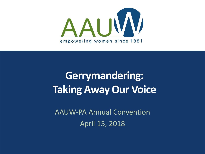

# **Gerrymandering: Taking Away Our Voice**

AAUW-PA Annual Convention April 15, 2018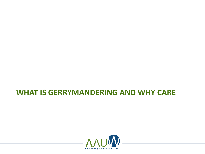### **WHAT IS GERRYMANDERING AND WHY CARE**

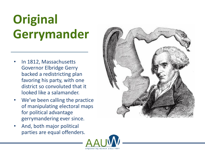# **Original Gerrymander**

- In 1812, Massachusetts Governor Elbridge Gerry backed a redistricting plan favoring his party, with one district so convoluted that it looked like a salamander.
- We've been calling the practice of manipulating electoral maps for political advantage gerrymandering ever since.
- And, both major political parties are equal offenders.



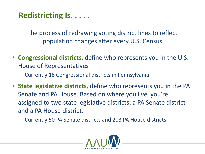### **Redistricting Is. . . . .**

The process of redrawing voting district lines to reflect population changes after every U.S. Census

- **Congressional districts**, define who represents you in the U.S. House of Representatives
	- Currently 18 Congressional districts in Pennsylvania
- **State legislative districts**, define who represents you in the PA Senate and PA House. Based on where you live, you're assigned to two state legislative districts: a PA Senate district and a PA House district.
	- Currently 50 PA Senate districts and 203 PA House districts

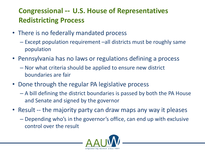### **Congressional -- U.S. House of Representatives Redistricting Process**

- There is no federally mandated process
	- Except population requirement –all districts must be roughly same population
- Pennsylvania has no laws or regulations defining a process
	- Nor what criteria should be applied to ensure new district boundaries are fair
- Done through the regular PA legislative process
	- A bill defining the district boundaries is passed by both the PA House and Senate and signed by the governor
- Result -- the majority party can draw maps any way it pleases
	- Depending who's in the governor's office, can end up with exclusive control over the result

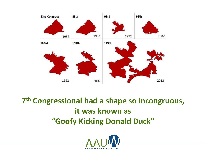

## **7 th Congressional had a shape so incongruous, it was known as "Goofy Kicking Donald Duck"**

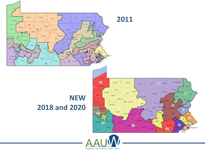

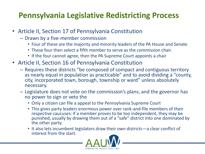### **Pennsylvania Legislative Redistricting Process**

- Article II, Section 17 of Pennsylvania Constitution
	- Drawn by a five-member commission
		- Four of these are the majority and minority leaders of the PA House and Senate
		- These four then select a fifth member to serve as the commission chair.
		- If the four cannot agree, then the PA Supreme Court appoints a chair
- Article II, Section 16 of Pennsylvania Constitution
	- Requires these districts "be composed of compact and contiguous territory as nearly equal in population as practicable" and to avoid dividing a "county, city, incorporated town, borough, township or ward" unless absolutely necessary.
	- Legislature does not vote on the commission's plans, and the governor has no power to sign or veto the
		- Only a citizen can file a appeal to the Pennsylvania Supreme Court
		- This gives party leaders enormous power over rank-and-file members of their respective caucuses: if a member proves to be too independent, they may be punished, usually by drawing them out of a "safe" district into one dominated by the other party.
		- It also lets incumbent legislators draw their own districts—a clear conflict of interest from the start.

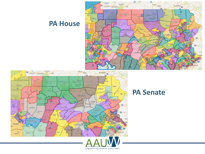### **PA House**





#### **PA Senate**

empowering women since 1881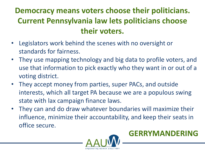## **Democracy means voters choose their politicians. Current Pennsylvania law lets politicians choose their voters.**

- Legislators work behind the scenes with no oversight or standards for fairness.
- They use mapping technology and big data to profile voters, and use that information to pick exactly who they want in or out of a voting district.
- They accept money from parties, super PACs, and outside interests, which all target PA because we are a populous swing state with lax campaign finance laws.
- They can and do draw whatever boundaries will maximize their influence, minimize their accountability, and keep their seats in office secure.



**GERRYMANDERING**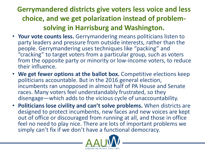### **Gerrymandered districts give voters less voice and less choice, and we get polarization instead of problemsolving in Harrisburg and Washington.**

- **Your vote counts less.** Gerrymandering means politicians listen to party leaders and pressure from outside interests, rather than the people. Gerrymandering uses techniques like "packing" and "cracking" to target voters from a particular group, such as voters from the opposite party or minority or low-income voters, to reduce their influence.
- **We get fewer options at the ballot box.** Competitive elections keep politicians accountable. But in the 2016 general election, incumbents ran unopposed in almost half of PA House and Senate races. Many voters feel understandably frustrated, so they disengage—which adds to the vicious cycle of unaccountability.
- **Politicians lose civility and can't solve problems.** When districts are designed to protect incumbents, new faces and new voices are kept out of office or discouraged from running at all, and those in office feel no need to play nice. There are lots of important problems we simply can't fix if we don't have a functional democracy.

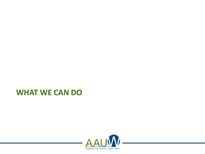### **WHAT WE CAN DO**

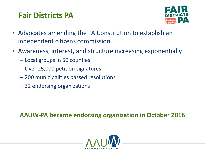### **Fair Districts PA**



- Advocates amending the PA Constitution to establish an independent citizens commission
- Awareness, interest, and structure increasing exponentially
	- Local groups in 50 counties
	- Over 25,000 petition signatures
	- 200 municipalities passed resolutions
	- 32 endorsing organizations

**AAUW-PA became endorsing organization in October 2016**

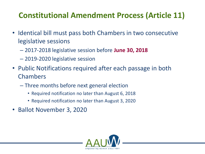## **Constitutional Amendment Process (Article 11)**

- Identical bill must pass both Chambers in two consecutive legislative sessions
	- 2017-2018 legislative session before **June 30, 2018**
	- 2019-2020 legislative session
- Public Notifications required after each passage in both Chambers
	- Three months before next general election
		- Required notification no later than August 6, 2018
		- Required notification no later than August 3, 2020
- Ballot November 3, 2020

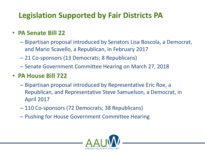### **Legislation Supported by Fair Districts PA**

#### • **PA Senate Bill 22**

- Bipartisan proposal introduced by Senators Lisa Boscola, a Democrat, and Mario Scavello, a Republican, in February 2017
- 21 Co-sponsors (13 Democrats; 8 Republicans)
- Senate Government Committee Hearing on March 27, 2018

#### • **PA House Bill 722**

- Bipartisan proposal introduced by Representative Eric Roe, a Republican, and Representative Steve Samuelson, a Democrat, in April 2017
- 110 Co-sponsors (72 Democrats; 38 Republicans)
- Pushing for House Government Committee Hearing

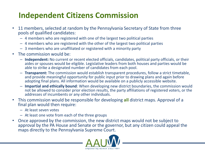### **Independent Citizens Commission**

- 11 members, selected at random by the Pennsylvania Secretary of State from three pools of qualified candidates:
	- 4 members who are registered with one of the largest two political parties
	- 4 members who are registered with the other of the largest two political parties
	- 3 members who are unaffiliated or registered with a minority party
- The commission would be:
	- **Independent:** No current or recent elected officials, candidates, political party officials, or their aides or spouses would be eligible. Legislative leaders from both houses and parties would be able to strike a designated number of candidates from each pool.
	- **Transparent:** The commission would establish transparent procedures, follow a strict timetable, and provide meaningful opportunity for public input prior to drawing plans and again before adopting final plans. All information would be available on a publicly accessible website.
	- **Impartial and ethically bound**: When developing new district boundaries, the commission would not be allowed to consider prior election results, the party affiliations of registered voters, or the addresses of incumbents or any other individuals.
- This commission would be responsible for developing **all** district maps. Approval of a final plan would then require:
	- At least seven votes
	- At least one vote from each of the three groups
- Once approved by the commission, the new district maps would not be subject to approval by the PA House and Senate or the governor, but any citizen could appeal the maps directly to the Pennsylvania Supreme Court.

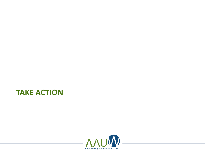### **TAKE ACTION**

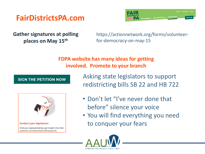### **FairDistrictsPA.com**



**Gather signatures at polling places on May 15th**

https://actionnetwork.org/forms/volunteerfor-democracy-on-may-15

**FDPA website has many ideas for getting involved. Promote to your branch**

#### **SIGN THE PETITION NOW**



Asking state legislators to support redistricting bills SB 22 and HB 722

- Don't let "I've never done that before" silence your voice
- You will find everything you need to conquer your fears

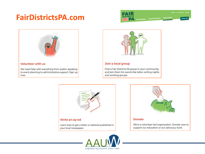### **FairDistrictsPA.com**













#### **Donate**

We're a volunteer-led organization. Donate now to support our education or our advocacy work.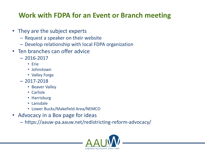### **Work with FDPA for an Event or Branch meeting**

- They are the subject experts
	- Request a speaker on their website
	- Develop relationship with local FDPA organization
- Ten branches can offer advice
	- 2016-2017
		- Erie
		- Johnstown
		- Valley Forge
	- $-2017-2018$ 
		- Beaver Valley
		- Carlisle
		- Harrisburg
		- Lansdale
		- Lower Bucks/Makefield Area/NEMCO
- Advocacy in a Box page for ideas
	- https://aauw-pa.aauw.net/redistricting-reform-advocacy/

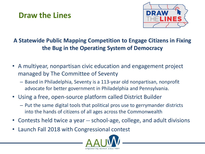### **Draw the Lines**



#### **A Statewide Public Mapping Competition to Engage Citizens in Fixing the Bug in the Operating System of Democracy**

- A multiyear, nonpartisan civic education and engagement project managed by The Committee of Seventy
	- Based in Philadelphia, Seventy is a 113-year old nonpartisan, nonprofit advocate for better government in Philadelphia and Pennsylvania.
- Using a free, open-source platform called District Builder
	- Put the same digital tools that political pros use to gerrymander districts into the hands of citizens of all ages across the Commonwealth
- Contests held twice a year -- school-age, college, and adult divisions
- Launch Fall 2018 with Congressional contest

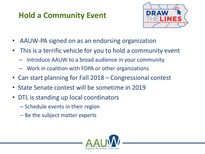### **Hold a Community Event**



- AAUW-PA signed on as an endorsing organization
- This is a terrific vehicle for you to hold a community event
	- Introduce AAUW to a broad audience in your community
	- Work in coalition with FDPA or other organizations
- Can start planning for Fall 2018 Congressional contest
- State Senate contest will be sometime in 2019
- DTL is standing up local coordinators
	- Schedule events in their region
	- Be the subject matter experts